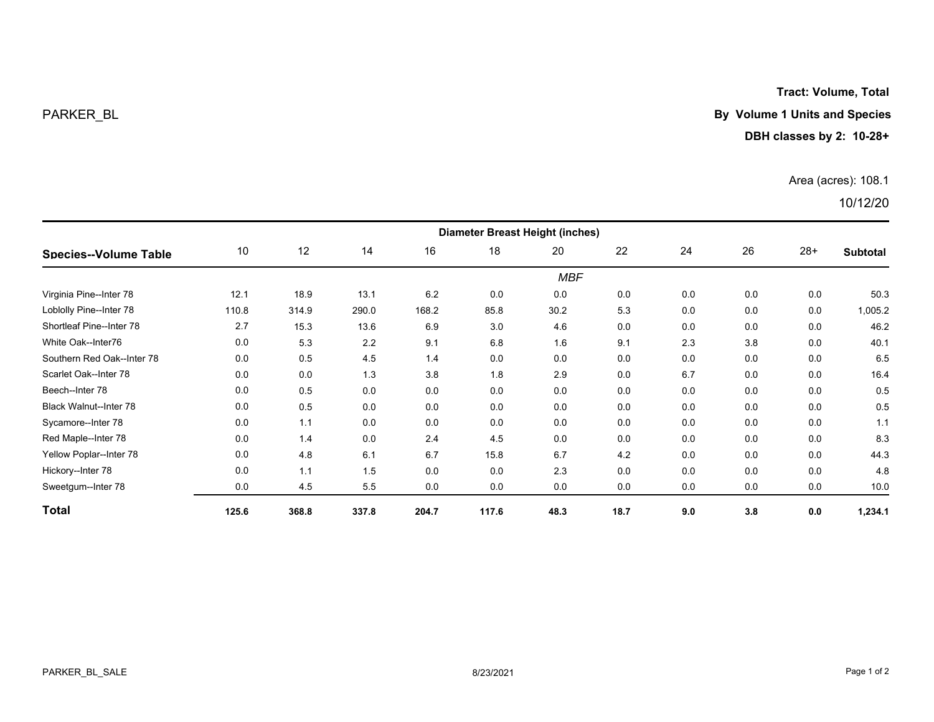**Tract: Volume, Total**

## PARKER\_BL **By Volume 1 Units and Species**

## **DBH classes by 2: 10-28+**

## Area (acres): 108.1

## 10/12/20

| <b>Species--Volume Table</b>  | <b>Diameter Breast Height (inches)</b> |       |       |       |       |      |      |     |     |       |                 |  |
|-------------------------------|----------------------------------------|-------|-------|-------|-------|------|------|-----|-----|-------|-----------------|--|
|                               | 10                                     | 12    | 14    | 16    | 18    | 20   | 22   | 24  | 26  | $28+$ | <b>Subtotal</b> |  |
|                               | <b>MBF</b>                             |       |       |       |       |      |      |     |     |       |                 |  |
| Virginia Pine--Inter 78       | 12.1                                   | 18.9  | 13.1  | 6.2   | 0.0   | 0.0  | 0.0  | 0.0 | 0.0 | 0.0   | 50.3            |  |
| Loblolly Pine--Inter 78       | 110.8                                  | 314.9 | 290.0 | 168.2 | 85.8  | 30.2 | 5.3  | 0.0 | 0.0 | 0.0   | 1,005.2         |  |
| Shortleaf Pine--Inter 78      | 2.7                                    | 15.3  | 13.6  | 6.9   | 3.0   | 4.6  | 0.0  | 0.0 | 0.0 | 0.0   | 46.2            |  |
| White Oak--Inter76            | 0.0                                    | 5.3   | 2.2   | 9.1   | 6.8   | 1.6  | 9.1  | 2.3 | 3.8 | 0.0   | 40.1            |  |
| Southern Red Oak--Inter 78    | 0.0                                    | 0.5   | 4.5   | 1.4   | 0.0   | 0.0  | 0.0  | 0.0 | 0.0 | 0.0   | 6.5             |  |
| Scarlet Oak--Inter 78         | 0.0                                    | 0.0   | 1.3   | 3.8   | 1.8   | 2.9  | 0.0  | 6.7 | 0.0 | 0.0   | 16.4            |  |
| Beech--Inter 78               | 0.0                                    | 0.5   | 0.0   | 0.0   | 0.0   | 0.0  | 0.0  | 0.0 | 0.0 | 0.0   | 0.5             |  |
| <b>Black Walnut--Inter 78</b> | 0.0                                    | 0.5   | 0.0   | 0.0   | 0.0   | 0.0  | 0.0  | 0.0 | 0.0 | 0.0   | 0.5             |  |
| Sycamore--Inter 78            | 0.0                                    | 1.1   | 0.0   | 0.0   | 0.0   | 0.0  | 0.0  | 0.0 | 0.0 | 0.0   | 1.1             |  |
| Red Maple--Inter 78           | 0.0                                    | 1.4   | 0.0   | 2.4   | 4.5   | 0.0  | 0.0  | 0.0 | 0.0 | 0.0   | 8.3             |  |
| Yellow Poplar--Inter 78       | 0.0                                    | 4.8   | 6.1   | 6.7   | 15.8  | 6.7  | 4.2  | 0.0 | 0.0 | 0.0   | 44.3            |  |
| Hickory--Inter 78             | 0.0                                    | 1.1   | 1.5   | 0.0   | 0.0   | 2.3  | 0.0  | 0.0 | 0.0 | 0.0   | 4.8             |  |
| Sweetgum--Inter 78            | 0.0                                    | 4.5   | 5.5   | 0.0   | 0.0   | 0.0  | 0.0  | 0.0 | 0.0 | 0.0   | 10.0            |  |
| <b>Total</b>                  | 125.6                                  | 368.8 | 337.8 | 204.7 | 117.6 | 48.3 | 18.7 | 9.0 | 3.8 | 0.0   | 1,234.1         |  |